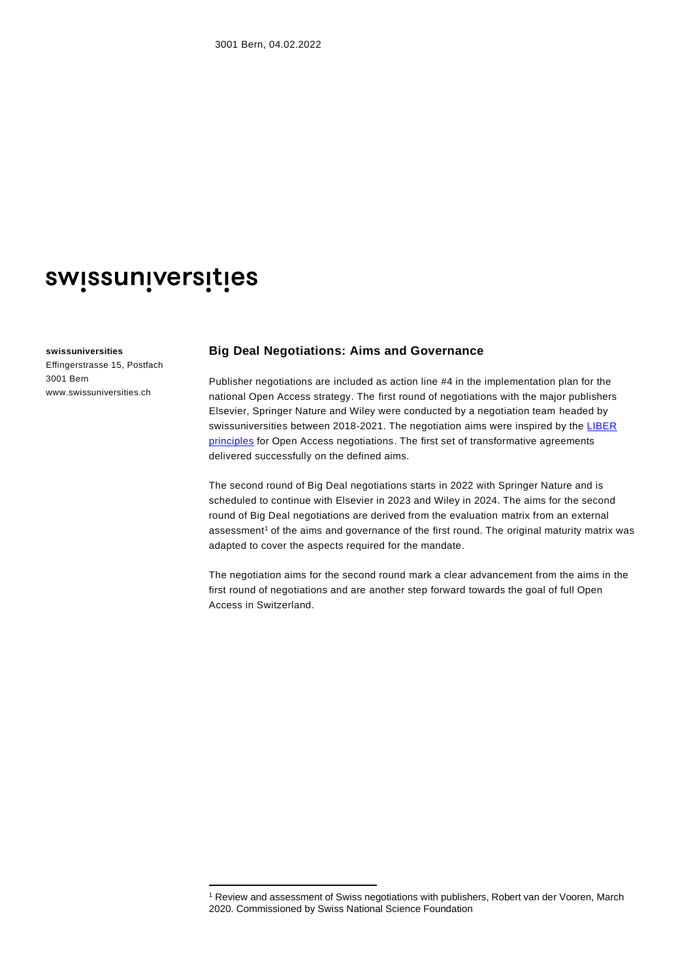# swissuniversities

#### **swissuniversities**

Effingerstrasse 15, Postfach 3001 Bern www.swissuniversities.ch

#### **Big Deal Negotiations: Aims and Governance**

Publisher negotiations are included as action line #4 in the implementation plan for the national Open Access strategy. The first round of negotiations with the major publishers Elsevier, Springer Nature and Wiley were conducted by a negotiation team headed by swissuniversities between 2018-2021. The negotiation aims were inspired by the LIBER [principles](https://libereurope.eu/article/open-access-five-principles-for-negotiations-with-publishers/) for Open Access negotiations. The first set of transformative agreements delivered successfully on the defined aims.

The second round of Big Deal negotiations starts in 2022 with Springer Nature and is scheduled to continue with Elsevier in 2023 and Wiley in 2024. The aims for the second round of Big Deal negotiations are derived from the evaluation matrix from an external assessment<sup>1</sup> of the aims and governance of the first round. The original maturity matrix was adapted to cover the aspects required for the mandate.

The negotiation aims for the second round mark a clear advancement from the aims in the first round of negotiations and are another step forward towards the goal of full Open Access in Switzerland.

<sup>1</sup> Review and assessment of Swiss negotiations with publishers, Robert van der Vooren, March 2020. Commissioned by Swiss National Science Foundation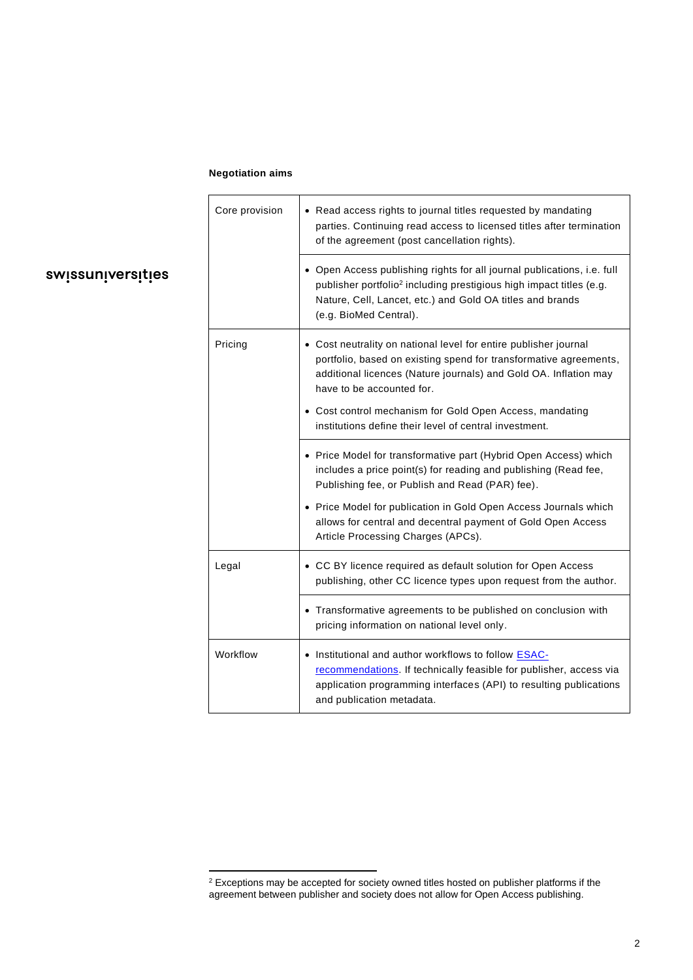### **Negotiation aims**

swissuniversities

| Core provision | • Read access rights to journal titles requested by mandating<br>parties. Continuing read access to licensed titles after termination<br>of the agreement (post cancellation rights).                                                             |
|----------------|---------------------------------------------------------------------------------------------------------------------------------------------------------------------------------------------------------------------------------------------------|
|                | • Open Access publishing rights for all journal publications, i.e. full<br>publisher portfolio <sup>2</sup> including prestigious high impact titles (e.g.<br>Nature, Cell, Lancet, etc.) and Gold OA titles and brands<br>(e.g. BioMed Central). |
| Pricing        | • Cost neutrality on national level for entire publisher journal<br>portfolio, based on existing spend for transformative agreements,<br>additional licences (Nature journals) and Gold OA. Inflation may<br>have to be accounted for.            |
|                | • Cost control mechanism for Gold Open Access, mandating<br>institutions define their level of central investment.                                                                                                                                |
|                | • Price Model for transformative part (Hybrid Open Access) which<br>includes a price point(s) for reading and publishing (Read fee,<br>Publishing fee, or Publish and Read (PAR) fee).                                                            |
|                | • Price Model for publication in Gold Open Access Journals which<br>allows for central and decentral payment of Gold Open Access<br>Article Processing Charges (APCs).                                                                            |
| Legal          | • CC BY licence required as default solution for Open Access<br>publishing, other CC licence types upon request from the author.                                                                                                                  |
|                | • Transformative agreements to be published on conclusion with<br>pricing information on national level only.                                                                                                                                     |
| Workflow       | • Institutional and author workflows to follow <b>ESAC-</b><br>recommendations. If technically feasible for publisher, access via<br>application programming interfaces (API) to resulting publications<br>and publication metadata.              |

 $2$  Exceptions may be accepted for society owned titles hosted on publisher platforms if the agreement between publisher and society does not allow for Open Access publishing.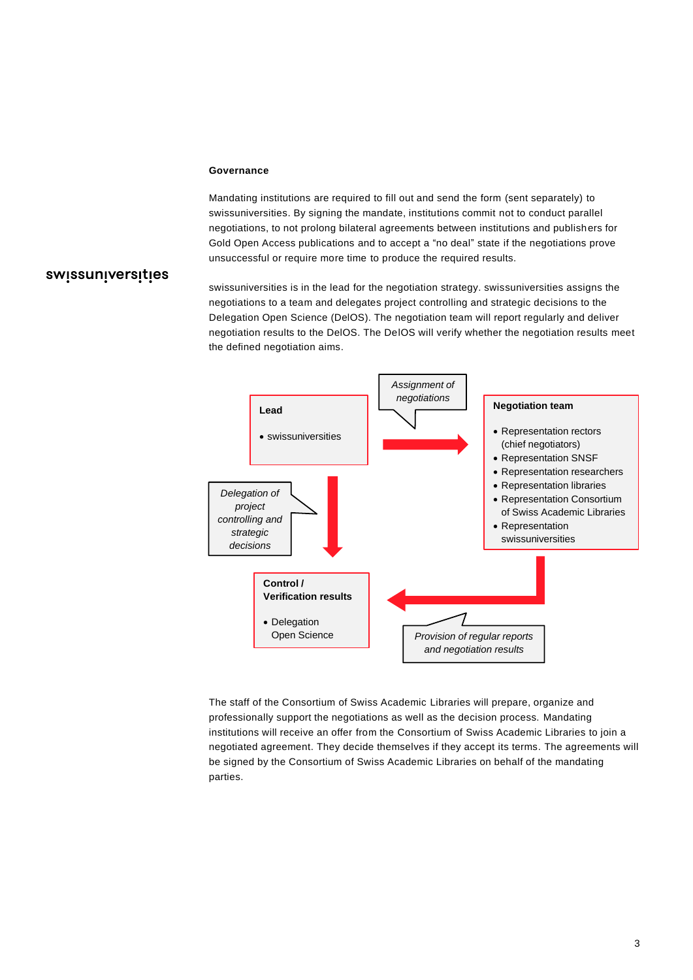#### **Governance**

Mandating institutions are required to fill out and send the form (sent separately) to swissuniversities. By signing the mandate, institutions commit not to conduct parallel negotiations, to not prolong bilateral agreements between institutions and publishers for Gold Open Access publications and to accept a "no deal" state if the negotiations prove unsuccessful or require more time to produce the required results.

## swissuniversities

swissuniversities is in the lead for the negotiation strategy. swissuniversities assigns the negotiations to a team and delegates project controlling and strategic decisions to the Delegation Open Science (DelOS). The negotiation team will report regularly and deliver negotiation results to the DelOS. The DelOS will verify whether the negotiation results meet the defined negotiation aims.



The staff of the Consortium of Swiss Academic Libraries will prepare, organize and professionally support the negotiations as well as the decision process. Mandating institutions will receive an offer from the Consortium of Swiss Academic Libraries to join a negotiated agreement. They decide themselves if they accept its terms. The agreements will be signed by the Consortium of Swiss Academic Libraries on behalf of the mandating parties.